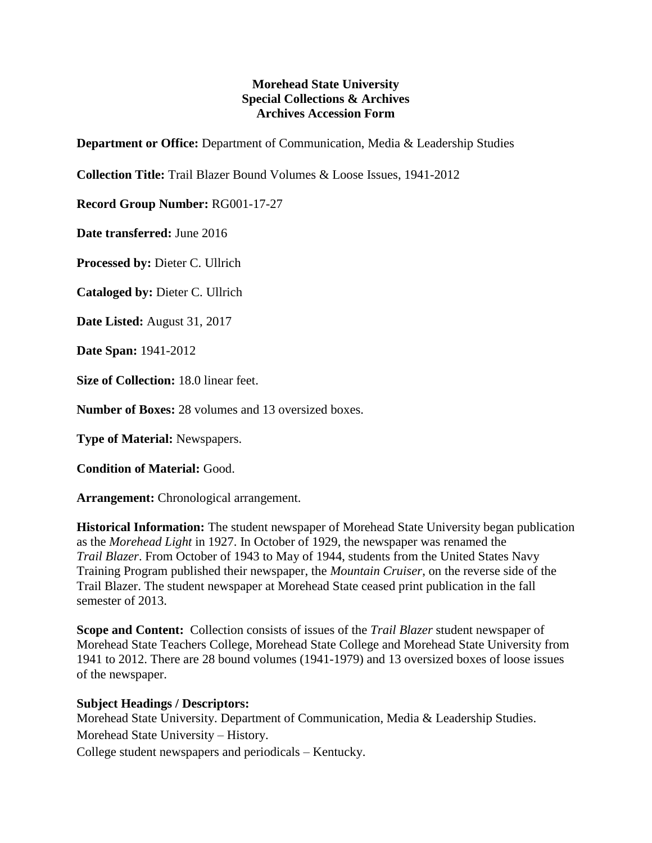## **Morehead State University Special Collections & Archives Archives Accession Form**

**Department or Office:** Department of Communication, Media & Leadership Studies

**Collection Title:** Trail Blazer Bound Volumes & Loose Issues, 1941-2012

**Record Group Number:** RG001-17-27

**Date transferred:** June 2016

**Processed by:** Dieter C. Ullrich

**Cataloged by:** Dieter C. Ullrich

**Date Listed:** August 31, 2017

**Date Span:** 1941-2012

**Size of Collection:** 18.0 linear feet.

**Number of Boxes:** 28 volumes and 13 oversized boxes.

**Type of Material:** Newspapers.

**Condition of Material:** Good.

**Arrangement:** Chronological arrangement.

**Historical Information:** The student newspaper of Morehead State University began publication as the *Morehead Light* in 1927. In October of 1929, the newspaper was renamed the *Trail Blazer*. From October of 1943 to May of 1944, students from the United States Navy Training Program published their newspaper, the *Mountain Cruiser*, on the reverse side of the Trail Blazer. The student newspaper at Morehead State ceased print publication in the fall semester of 2013.

**Scope and Content:** Collection consists of issues of the *Trail Blazer* student newspaper of Morehead State Teachers College, Morehead State College and Morehead State University from 1941 to 2012. There are 28 bound volumes (1941-1979) and 13 oversized boxes of loose issues of the newspaper.

## **Subject Headings / Descriptors:**

Morehead State University. Department of Communication, Media & Leadership Studies. Morehead State University – History.

College student newspapers and periodicals – Kentucky.